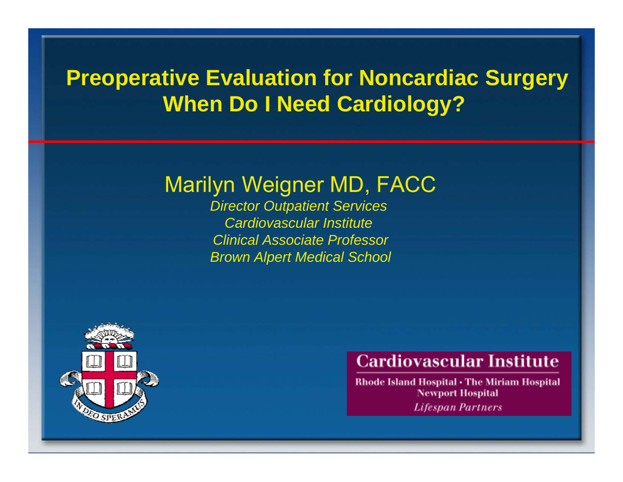## **Preoperative Evaluation for Noncardiac Surgery When Do I Need Cardiology?**

### Marilyn Weigner MD, FACC

*Director Outpatient Services Cardiovascular Institute Clinical Associate ProfessorBrown Alpert Medical School*



### **Cardiovascular Institute**

Rhode Island Hospital . The Miriam Hospital **Newport Hospital Lifespan Partners**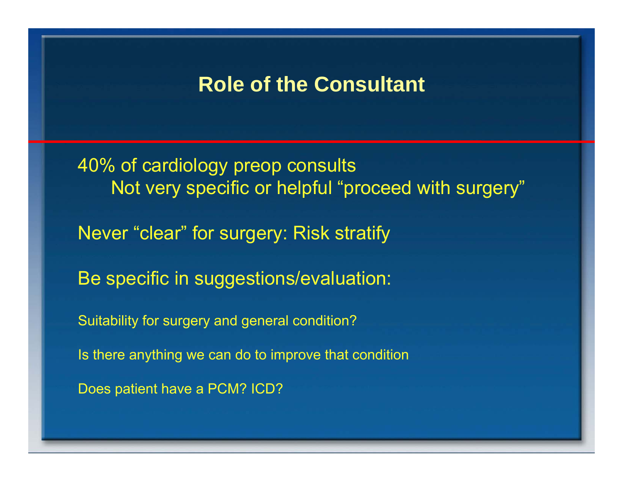### **Role of the Consultant**

40% of cardiology preop consults Not very specific or helpful "proceed with surgery" Never "clear" for surgery: Risk stratify Be specific in suggestions/evaluation: Suitability for surgery and general condition? Is there anything we can do to improve that condition Does patient have a PCM? ICD?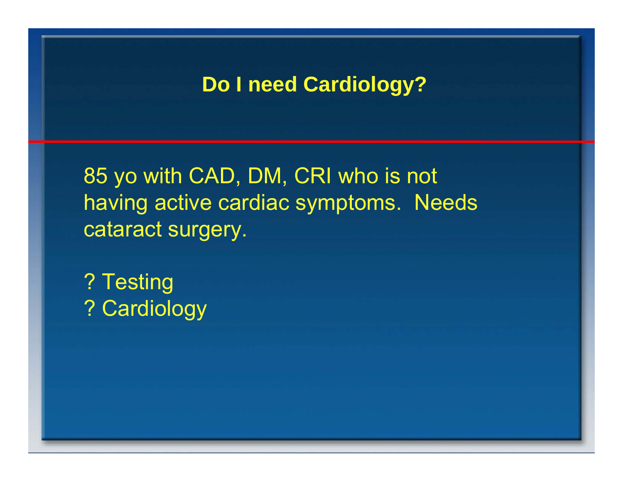85 yo with CAD, DM, CRI who is not having active cardiac symptoms. Needs cataract surgery.

? Testing ? Cardiology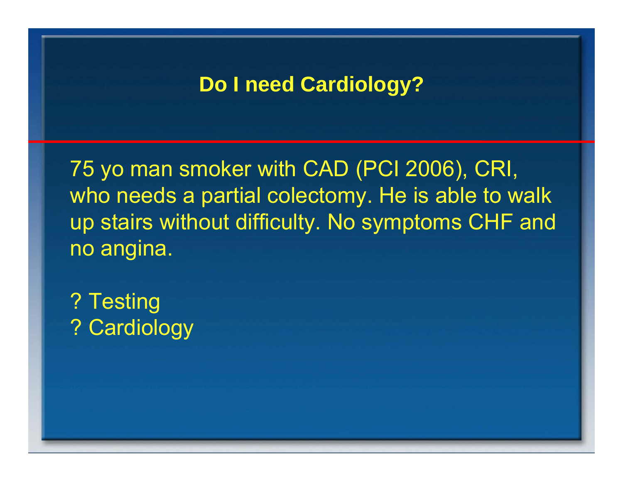75 yo man smoker with CAD (PCI 2006), CRI, who needs a partial colectomy. He is able to walk up stairs without difficulty. No symptoms CHF and no angina.

? Testing ? Cardiology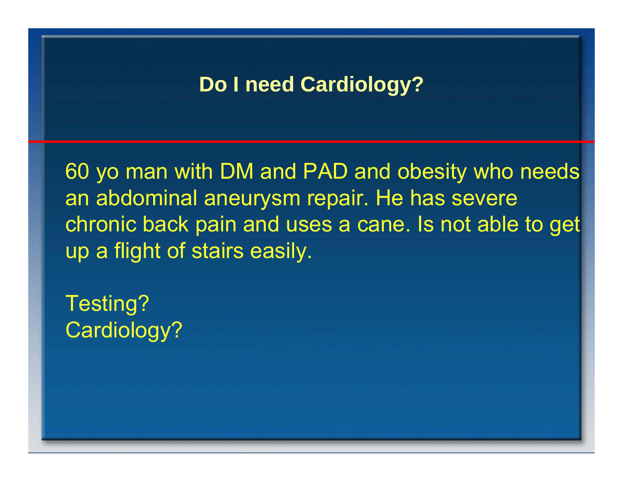60 yo man with DM and PAD and obesity who needs an abdominal aneurysm repair. He has severe chronic back pain and uses a cane. Is not able to get up a flight of stairs easily.

Testing? Cardiology?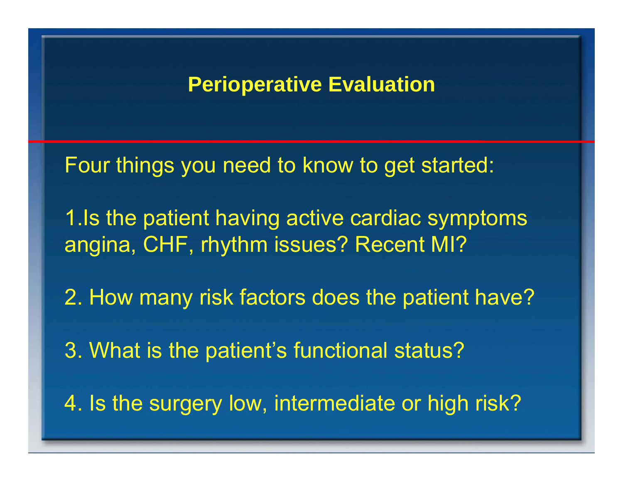### **Perioperative Evaluation**

Four things you need to know to get started:

- 1.Is the patient having active cardiac symptoms angina, CHF, rhythm issues? Recent MI?
- 2. How many risk factors does the patient have?
- 3. What is the patient's functional status?
- 4. Is the surgery low, intermediate or high risk?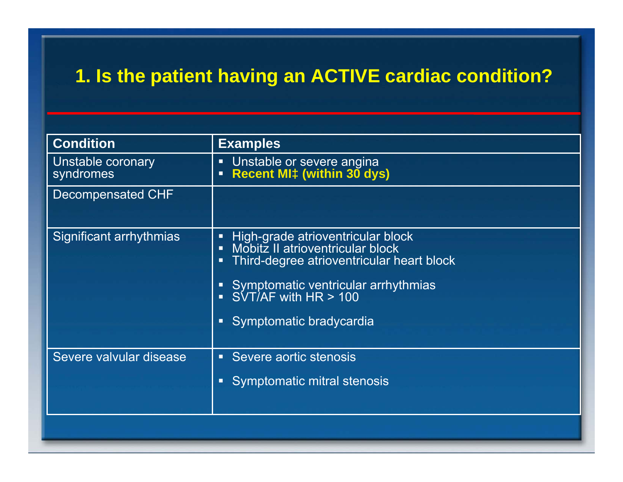### **1. Is the patient having an ACTIVE cardiac condition?**

| <b>Condition</b>               | <b>Examples</b>                                                                                                                                                                                                                            |
|--------------------------------|--------------------------------------------------------------------------------------------------------------------------------------------------------------------------------------------------------------------------------------------|
| Unstable coronary<br>syndromes | Unstable or severe angina<br><b>Recent MI‡ (within 30 dys)</b><br>$\blacksquare$                                                                                                                                                           |
| <b>Decompensated CHF</b>       |                                                                                                                                                                                                                                            |
| Significant arrhythmias        | High-grade atrioventricular block<br>п<br>Mobitz II atrioventricular block<br>П<br>Third-degree atrioventricular heart block<br>п<br>Symptomatic ventricular arrhythmias<br>SVT/AF with HR > 100<br>п<br>п<br>Symptomatic bradycardia<br>п |
| Severe valvular disease        | Severe aortic stenosis<br>п<br>Symptomatic mitral stenosis<br>о                                                                                                                                                                            |
|                                |                                                                                                                                                                                                                                            |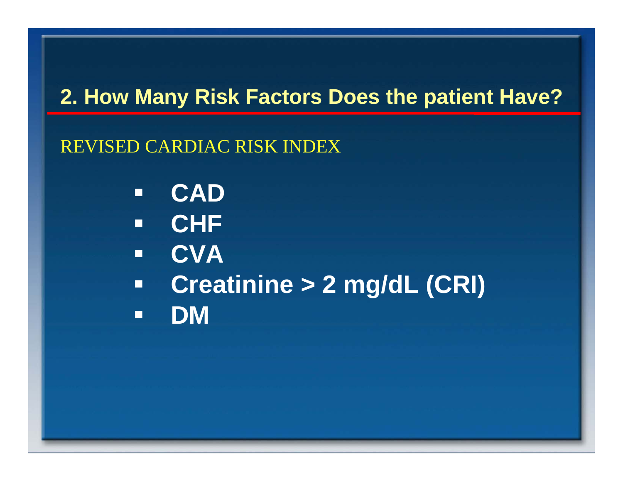## **2. How Many Risk Factors Does the patient Have?**

### REVISED CARDIAC RISK INDEX

- $\Box$ **CAD**
- $\Box$ **CHF**
- $\blacksquare$ **CVA**
- $\blacksquare$  **Creatinine > 2 mg/dL (CRI)**  $\Box$ **DM**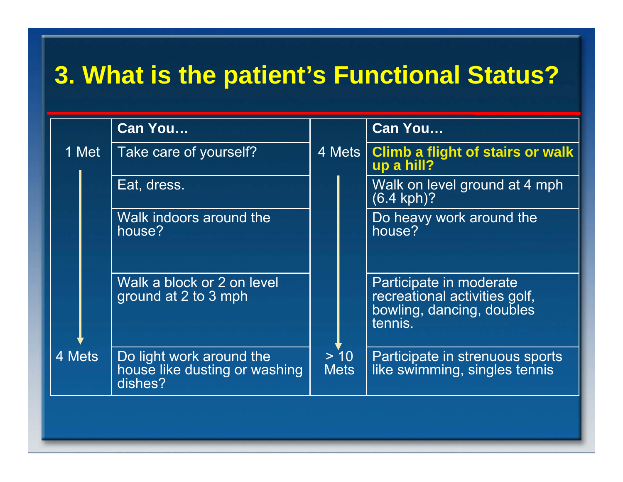# **3. What is the patient's Functional Status?**

|        |  | <b>Can You</b>                                                       |                     |  | <b>Can You</b>                                                                                   |
|--------|--|----------------------------------------------------------------------|---------------------|--|--------------------------------------------------------------------------------------------------|
| 1 Met  |  | Take care of yourself?                                               | 4 Mets              |  | <b>Climb a flight of stairs or walk</b><br>up a hill?                                            |
|        |  | Eat, dress.                                                          |                     |  | Walk on level ground at 4 mph<br>$(6.4$ kph $)$ ?                                                |
|        |  | Walk indoors around the<br>house?                                    |                     |  | Do heavy work around the<br>house?                                                               |
|        |  | Walk a block or 2 on level<br>ground at 2 to 3 mph                   |                     |  | Participate in moderate<br>recreational activities golf,<br>bowling, dancing, doubles<br>tennis. |
| 4 Mets |  | Do light work around the<br>house like dusting or washing<br>dishes? | > 10<br><b>Mets</b> |  | Participate in strenuous sports<br>like swimming, singles tennis                                 |
|        |  |                                                                      |                     |  |                                                                                                  |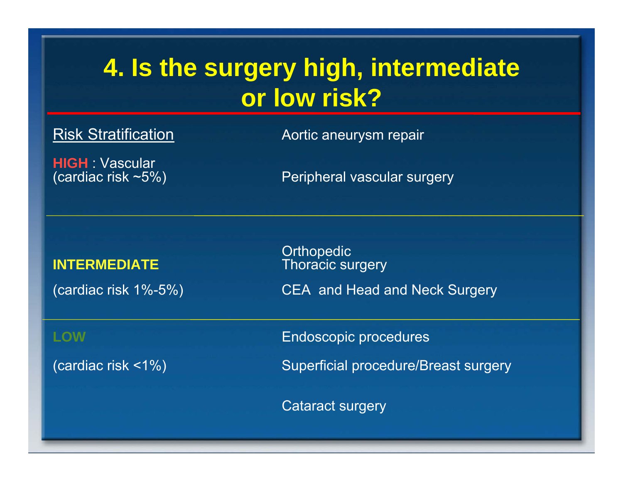## **4. Is the surgery high, intermediate or low risk?**

Risk Stratification **Aortic aneurysm repair** 

**HIGH Vascular** 

(cardiac risk ~5%) Peripheral vascular surgery

### **INTERMEDIATE**

**Orthopedic Thoracic surgery** (cardiac risk 1%-5%) CEA and Head and Neck Surgery

**LOW** Endoscopic procedures

(cardiac risk <1%) Superficial procedure/Breast surgery

Cataract surgery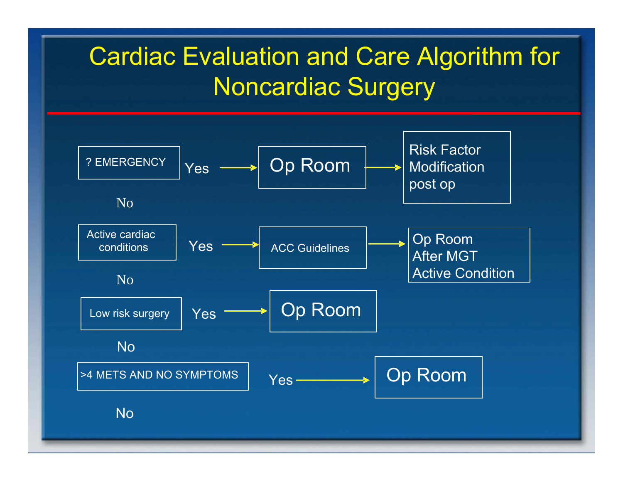## Cardiac Evaluation and Care Algorithm for Noncardiac Surgery

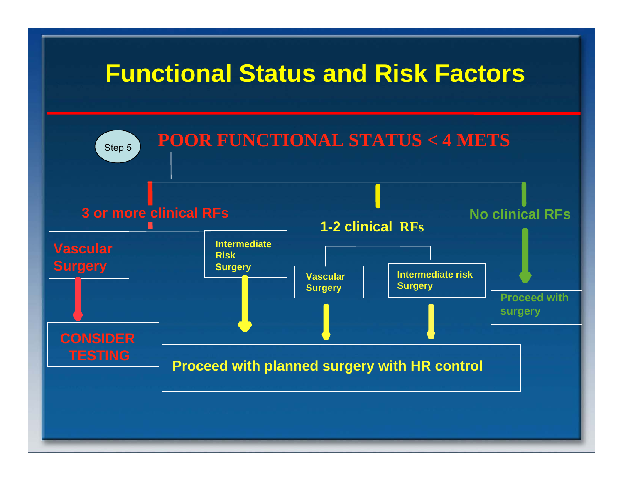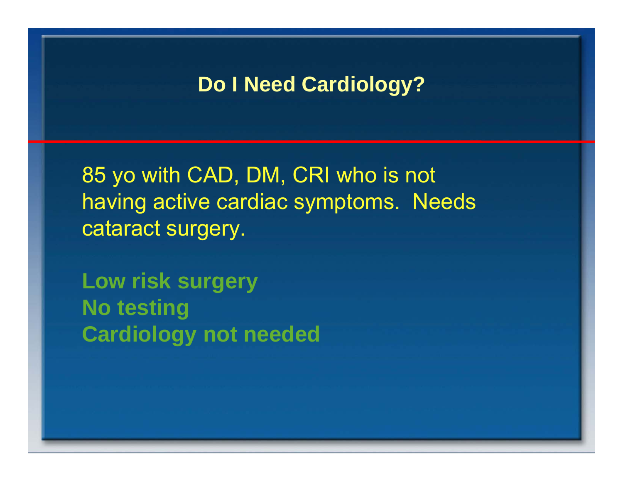85 yo with CAD, DM, CRI who is not having active cardiac symptoms. Needs cataract surgery.

**Low risk surgery No testing Cardiology not needed**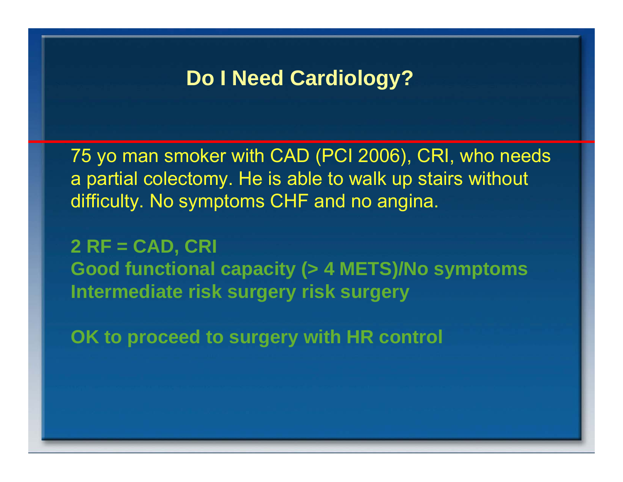75 yo man smoker with CAD (PCI 2006), CRI, who needs a partial colectomy. He is able to walk up stairs without difficulty. No symptoms CHF and no angina.

**2 RF = CAD, CRI Good functional capacity (> 4 METS)/No symptoms Intermediate risk surgery risk surgery** 

**OK to proceed to surgery with HR control**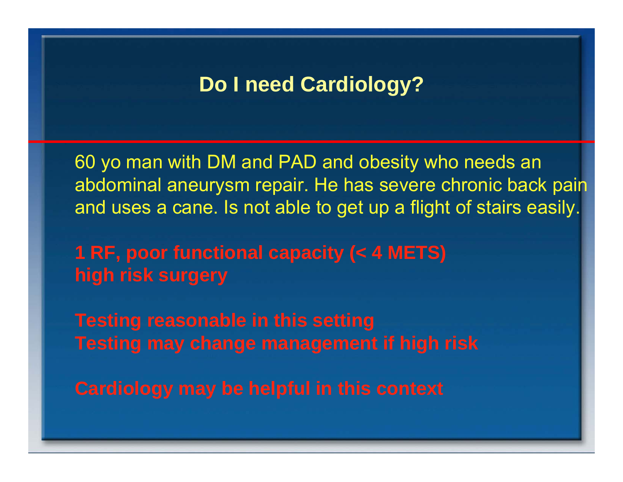60 yo man with DM and PAD and obesity who needs an abdominal aneurysm repair. He has severe chronic back pain and uses a cane. Is not able to get up a flight of stairs easily.

**1 RF, poor functional capacity (< 4 METS) high risk surgery** 

**Testing reasonable in this setting Testing may change management if high risk** 

**Cardiology may be helpful in this context**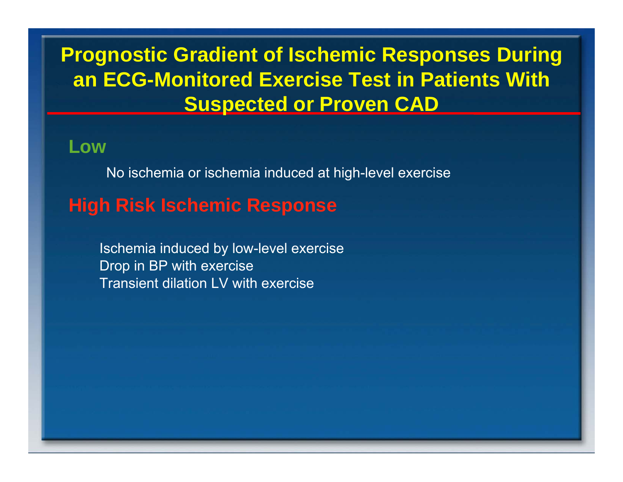### **Prognostic Gradient of Ischemic Responses During an ECG-Monitored Exercise Test in Patients With Suspected or Proven CAD**

**Low**

No ischemia or ischemia induced at high-level exercise

### **High Risk Ischemic Response**

Ischemia induced by low-level exercise Drop in BP with exercise Transient dilation LV with exercise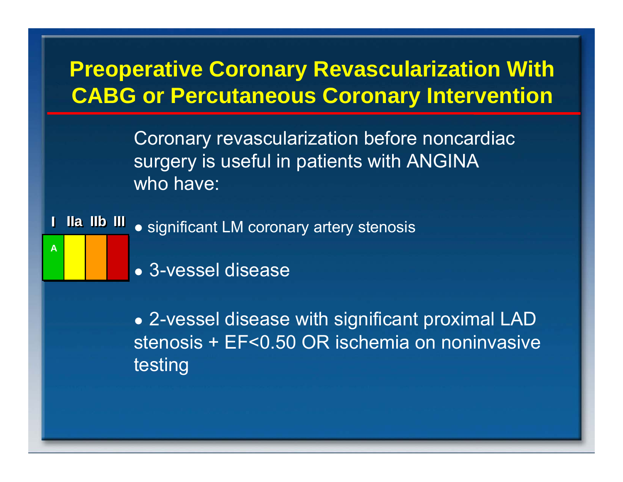## **Preoperative Coronary Revascularization With CABG or Percutaneous Coronary Intervention**

Coronary revascularization before noncardiac surgery is useful in patients with ANGINA who have:

**II IIaIIa IIbIIb III III** ● significant LM coronary artery stenosis

• 3-vessel disease

A

• 2-vessel disease with significant proximal LAD stenosis + EF<0.50 OR ischemia on noninvasive testing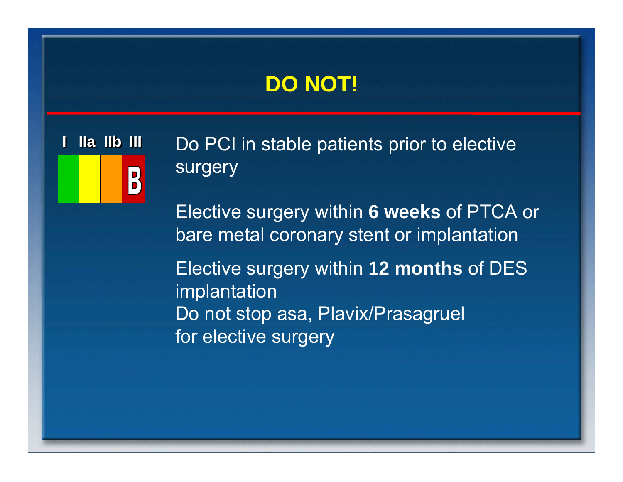## **DO NOT!**

**II** $\begin{bmatrix} 0 \\ 0 \end{bmatrix}$ 

**IIa IIb III** Do PCI in stable patients prior to elective surgery

> Elective surgery within **6 weeks** of PTCA or bare metal coronary stent or implantation

Elective surgery within **12 months** of DES implantation Do not stop asa, Plavix/Prasagruel for elective surgery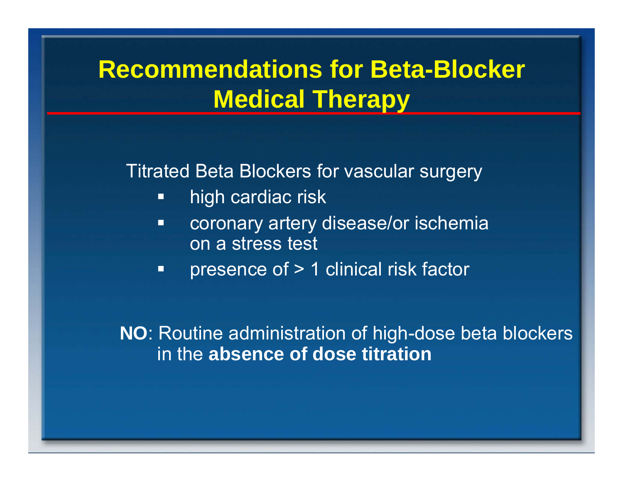## **Recommendations for Beta-Blocker Medical Therapy**

Titrated Beta Blockers for vascular surgery

- $\blacksquare$ high cardiac risk
- $\Box$  coronary artery disease/or ischemia on a stress test
- $\blacksquare$ presence of > 1 clinical risk factor

**NO**: Routine administration of high-dose beta blockers in the **absence of dose titration**